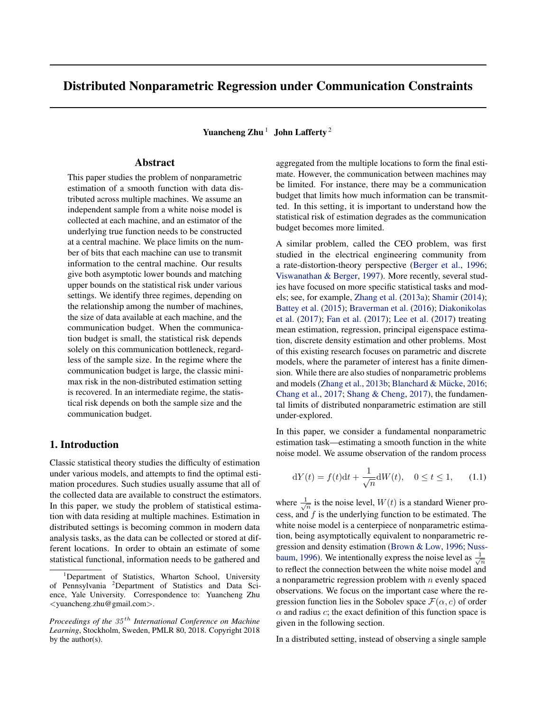# Distributed Nonparametric Regression under Communication Constraints

Yuancheng Zhu<sup>1</sup> John Lafferty<sup>2</sup>

# Abstract

This paper studies the problem of nonparametric estimation of a smooth function with data distributed across multiple machines. We assume an independent sample from a white noise model is collected at each machine, and an estimator of the underlying true function needs to be constructed at a central machine. We place limits on the number of bits that each machine can use to transmit information to the central machine. Our results give both asymptotic lower bounds and matching upper bounds on the statistical risk under various settings. We identify three regimes, depending on the relationship among the number of machines, the size of data available at each machine, and the communication budget. When the communication budget is small, the statistical risk depends solely on this communication bottleneck, regardless of the sample size. In the regime where the communication budget is large, the classic minimax risk in the non-distributed estimation setting is recovered. In an intermediate regime, the statistical risk depends on both the sample size and the communication budget.

# 1. Introduction

Classic statistical theory studies the difficulty of estimation under various models, and attempts to find the optimal estimation procedures. Such studies usually assume that all of the collected data are available to construct the estimators. In this paper, we study the problem of statistical estimation with data residing at multiple machines. Estimation in distributed settings is becoming common in modern data analysis tasks, as the data can be collected or stored at different locations. In order to obtain an estimate of some statistical functional, information needs to be gathered and

aggregated from the multiple locations to form the final estimate. However, the communication between machines may be limited. For instance, there may be a communication budget that limits how much information can be transmitted. In this setting, it is important to understand how the statistical risk of estimation degrades as the communication budget becomes more limited.

A similar problem, called the CEO problem, was first studied in the electrical engineering community from a rate-distortion-theory perspective (Berger et al., 1996; Viswanathan & Berger, 1997). More recently, several studies have focused on more specific statistical tasks and models; see, for example, Zhang et al. (2013a); Shamir (2014); Battey et al. (2015); Braverman et al. (2016); Diakonikolas et al. (2017); Fan et al. (2017); Lee et al. (2017) treating mean estimation, regression, principal eigenspace estimation, discrete density estimation and other problems. Most of this existing research focuses on parametric and discrete models, where the parameter of interest has a finite dimension. While there are also studies of nonparametric problems and models (Zhang et al., 2013b; Blanchard & Mücke, 2016; Chang et al., 2017; Shang & Cheng, 2017), the fundamental limits of distributed nonparametric estimation are still under-explored.

In this paper, we consider a fundamental nonparametric estimation task—estimating a smooth function in the white noise model. We assume observation of the random process

$$
dY(t) = f(t)dt + \frac{1}{\sqrt{n}}dW(t), \quad 0 \le t \le 1,
$$
 (1.1)

where  $\frac{1}{\sqrt{n}}$  is the noise level,  $W(t)$  is a standard Wiener process, and  $f$  is the underlying function to be estimated. The white noise model is a centerpiece of nonparametric estimation, being asymptotically equivalent to nonparametric regression and density estimation (Brown & Low, 1996; Nussbaum, 1996). We intentionally express the noise level as  $\frac{1}{\sqrt{n}}$ to reflect the connection between the white noise model and a nonparametric regression problem with  $n$  evenly spaced observations. We focus on the important case where the regression function lies in the Sobolev space  $\mathcal{F}(\alpha, c)$  of order  $\alpha$  and radius c; the exact definition of this function space is given in the following section.

In a distributed setting, instead of observing a single sample

<sup>&</sup>lt;sup>1</sup>Department of Statistics, Wharton School, University of Pennsylvania <sup>2</sup>Department of Statistics and Data Science, Yale University. Correspondence to: Yuancheng Zhu <yuancheng.zhu@gmail.com>.

*Proceedings of the* 35 th *International Conference on Machine Learning*, Stockholm, Sweden, PMLR 80, 2018. Copyright 2018 by the author(s).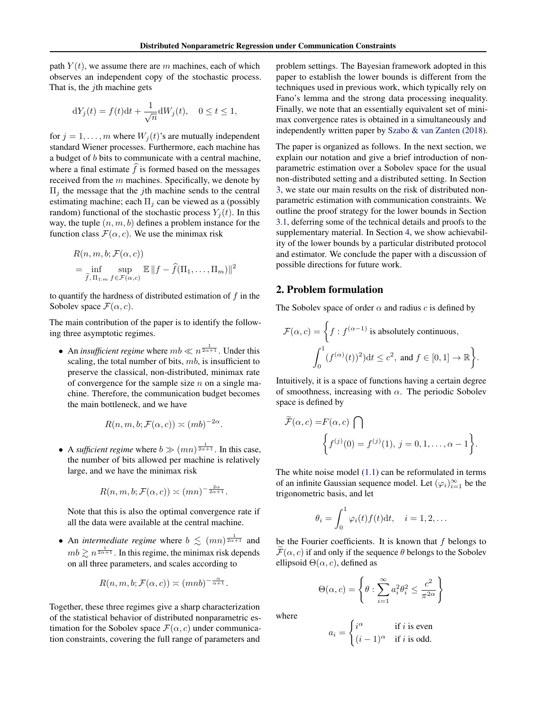path  $Y(t)$ , we assume there are m machines, each of which observes an independent copy of the stochastic process. That is, the  $i$ th machine gets

$$
dY_j(t) = f(t)dt + \frac{1}{\sqrt{n}}dW_j(t), \quad 0 \le t \le 1,
$$

for  $j = 1, \ldots, m$  where  $W_i(t)$ 's are mutually independent standard Wiener processes. Furthermore, each machine has a budget of b bits to communicate with a central machine, where a final estimate  $\hat{f}$  is formed based on the messages received from the  $m$  machines. Specifically, we denote by  $\Pi_i$  the message that the *j*th machine sends to the central estimating machine; each  $\Pi_i$  can be viewed as a (possibly random) functional of the stochastic process  $Y_i(t)$ . In this way, the tuple  $(n, m, b)$  defines a problem instance for the function class  $\mathcal{F}(\alpha, c)$ . We use the minimax risk

$$
R(n, m, b; \mathcal{F}(\alpha, c))
$$
  
=  $\inf_{\widehat{f}, \Pi_{1:m}} \sup_{f \in \mathcal{F}(\alpha, c)} \mathbb{E} ||f - \widehat{f}(\Pi_1, \dots, \Pi_m)||^2$ 

to quantify the hardness of distributed estimation of  $f$  in the Sobolev space  $\mathcal{F}(\alpha, c)$ .

The main contribution of the paper is to identify the following three asymptotic regimes.

• An *insufficient regime* where  $mb \ll n^{\frac{1}{2\alpha+1}}$ . Under this scaling, the total number of bits,  $mb$ , is insufficient to preserve the classical, non-distributed, minimax rate of convergence for the sample size  $n$  on a single machine. Therefore, the communication budget becomes the main bottleneck, and we have

$$
R(n, m, b; \mathcal{F}(\alpha, c)) \asymp (m b)^{-2\alpha}.
$$

• A *sufficient regime* where  $b \gg (mn)^{\frac{1}{2\alpha+1}}$ . In this case, the number of bits allowed per machine is relatively large, and we have the minimax risk

$$
R(n, m, b; \mathcal{F}(\alpha, c)) \asymp (mn)^{-\frac{2\alpha}{2\alpha+1}}.
$$

Note that this is also the optimal convergence rate if all the data were available at the central machine.

• An *intermediate regime* where  $b \leq (mn)^{\frac{1}{2\alpha+1}}$  and  $mb \gtrsim n^{\frac{1}{2\alpha+1}}$ . In this regime, the minimax risk depends on all three parameters, and scales according to

$$
R(n, m, b; \mathcal{F}(\alpha, c)) \asymp (mnb)^{-\frac{\alpha}{\alpha+1}}.
$$

Together, these three regimes give a sharp characterization of the statistical behavior of distributed nonparametric estimation for the Sobolev space  $\mathcal{F}(\alpha, c)$  under communication constraints, covering the full range of parameters and

problem settings. The Bayesian framework adopted in this paper to establish the lower bounds is different from the techniques used in previous work, which typically rely on Fano's lemma and the strong data processing inequality. Finally, we note that an essentially equivalent set of minimax convergence rates is obtained in a simultaneously and independently written paper by Szabo & van Zanten (2018).

The paper is organized as follows. In the next section, we explain our notation and give a brief introduction of nonparametric estimation over a Sobolev space for the usual non-distributed setting and a distributed setting. In Section 3, we state our main results on the risk of distributed nonparametric estimation with communication constraints. We outline the proof strategy for the lower bounds in Section 3.1, deferring some of the technical details and proofs to the supplementary material. In Section 4, we show achievability of the lower bounds by a particular distributed protocol and estimator. We conclude the paper with a discussion of possible directions for future work.

### 2. Problem formulation

The Sobolev space of order  $\alpha$  and radius c is defined by

$$
\mathcal{F}(\alpha, c) = \left\{ f : f^{(\alpha - 1)} \text{ is absolutely continuous,} \atop \int_0^1 (f^{(\alpha)}(t))^2) dt \le c^2, \text{ and } f \in [0, 1] \to \mathbb{R} \right\}.
$$

Intuitively, it is a space of functions having a certain degree of smoothness, increasing with  $\alpha$ . The periodic Sobolev space is defined by

$$
\widetilde{\mathcal{F}}(\alpha, c) = F(\alpha, c) \bigcap \left\{ f^{(j)}(0) = f^{(j)}(1), j = 0, 1, \dots, \alpha - 1 \right\}.
$$

The white noise model  $(1.1)$  can be reformulated in terms of an infinite Gaussian sequence model. Let  $(\varphi_i)_{i=1}^{\infty}$  be the trigonometric basis, and let

$$
\theta_i = \int_0^1 \varphi_i(t) f(t) \mathrm{d}t, \quad i = 1, 2, \dots
$$

be the Fourier coefficients. It is known that  $f$  belongs to  $\mathcal{F}(\alpha, c)$  if and only if the sequence  $\theta$  belongs to the Sobolev ellipsoid  $\Theta(\alpha, c)$ , defined as

$$
\Theta(\alpha, c) = \left\{ \theta : \sum_{i=1}^{\infty} a_i^2 \theta_i^2 \le \frac{c^2}{\pi^{2\alpha}} \right\}
$$

where

$$
a_i = \begin{cases} i^{\alpha} & \text{if } i \text{ is even} \\ (i-1)^{\alpha} & \text{if } i \text{ is odd.} \end{cases}
$$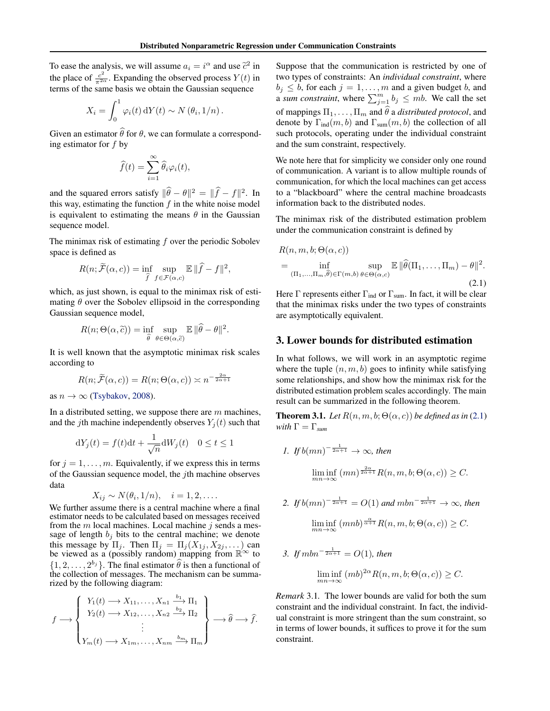To ease the analysis, we will assume  $a_i = i^{\alpha}$  and use  $\tilde{c}^2$  in the place of  $\frac{c^2}{\pi^{2\alpha}}$ . Expanding the observed process  $Y(t)$  in terms of the same basis we obtain the Gaussian sequence

$$
X_i = \int_0^1 \varphi_i(t) \, dY(t) \sim N(\theta_i, 1/n) \, .
$$

Given an estimator  $\widehat{\theta}$  for  $\theta$ , we can formulate a corresponding estimator for  $f$  by

$$
\widehat{f}(t) = \sum_{i=1}^{\infty} \widehat{\theta}_i \varphi_i(t),
$$

and the squared errors satisfy  $\|\hat{\theta} - \theta\|^2 = \|\hat{f} - f\|^2$ . In this way, estimating the function  $f$  in the white noise model is equivalent to estimating the means  $\theta$  in the Gaussian sequence model.

The minimax risk of estimating  $f$  over the periodic Sobolev space is defined as

$$
R(n; \widetilde{\mathcal{F}}(\alpha, c)) = \inf_{\widehat{f}} \sup_{f \in \mathcal{F}(\alpha, c)} \mathbb{E} \|\widehat{f} - f\|^2,
$$

which, as just shown, is equal to the minimax risk of estimating  $\theta$  over the Sobolev ellipsoid in the corresponding Gaussian sequence model,

$$
R(n; \Theta(\alpha, \widetilde{c})) = \inf_{\widehat{\theta}} \sup_{\theta \in \Theta(\alpha, \widetilde{c})} \mathbb{E} \|\widehat{\theta} - \theta\|^2
$$

.

It is well known that the asymptotic minimax risk scales according to

$$
R(n; \widetilde{\mathcal{F}}(\alpha, c)) = R(n; \Theta(\alpha, c)) \asymp n^{-\frac{2\alpha}{2\alpha + 1}}
$$

as  $n \to \infty$  (Tsybakov, 2008).

In a distributed setting, we suppose there are  $m$  machines, and the jth machine independently observes  $Y_i(t)$  such that

$$
dY_j(t) = f(t)dt + \frac{1}{\sqrt{n}}dW_j(t) \quad 0 \le t \le 1
$$

for  $j = 1, \ldots, m$ . Equivalently, if we express this in terms of the Gaussian sequence model, the jth machine observes data

$$
X_{ij} \sim N(\theta_i, 1/n), \quad i = 1, 2, \dots
$$

We further assume there is a central machine where a final estimator needs to be calculated based on messages received from the  $m$  local machines. Local machine  $j$  sends a message of length  $b_j$  bits to the central machine; we denote this message by  $\Pi_j$ . Then  $\Pi_j = \Pi_j(X_{1j}, X_{2j}, \dots)$  can be viewed as a (possibly random) mapping from  $\mathbb{R}^{\infty}$  to  $\{1, 2, \ldots, 2^{b_j}\}$ . The final estimator  $\hat{\theta}$  is then a functional of the collection of messages. The mechanism can be summarized by the following diagram:

$$
f \longrightarrow \begin{Bmatrix} Y_1(t) \longrightarrow X_{11}, \dots, X_{n1} \xrightarrow{b_1} \Pi_1 \\ Y_2(t) \longrightarrow X_{12}, \dots, X_{n2} \xrightarrow{b_2} \Pi_2 \\ \vdots \\ Y_m(t) \longrightarrow X_{1m}, \dots, X_{nm} \xrightarrow{b_m} \Pi_m \end{Bmatrix} \longrightarrow \widehat{\theta} \longrightarrow \widehat{f}.
$$

Suppose that the communication is restricted by one of two types of constraints: An *individual constraint*, where  $b_j \leq b$ , for each  $j = 1, \ldots, m$  and a given budget b, and a sum constraint, where  $\sum_{j=1}^{m} b_j \leq mb$ . We call the set of mappings  $\Pi_1, \ldots, \Pi_m$  and  $\theta$  a *distributed protocol*, and denote by  $\Gamma_{\text{ind}}(m, b)$  and  $\Gamma_{\text{sum}}(m, b)$  the collection of all such protocols, operating under the individual constraint and the sum constraint, respectively.

We note here that for simplicity we consider only one round of communication. A variant is to allow multiple rounds of communication, for which the local machines can get access to a "blackboard" where the central machine broadcasts information back to the distributed nodes.

The minimax risk of the distributed estimation problem under the communication constraint is defined by

$$
R(n, m, b; \Theta(\alpha, c))
$$
  
= 
$$
\inf_{(\Pi_1, ..., \Pi_m, \widehat{\theta}) \in \Gamma(m, b)} \sup_{\theta \in \Theta(\alpha, c)} \mathbb{E} \|\widehat{\theta}(\Pi_1, ..., \Pi_m) - \theta\|^2.
$$
 (2.1)

Here  $\Gamma$  represents either  $\Gamma_{\text{ind}}$  or  $\Gamma_{\text{sum}}$ . In fact, it will be clear that the minimax risks under the two types of constraints are asymptotically equivalent.

## 3. Lower bounds for distributed estimation

In what follows, we will work in an asymptotic regime where the tuple  $(n, m, b)$  goes to infinity while satisfying some relationships, and show how the minimax risk for the distributed estimation problem scales accordingly. The main result can be summarized in the following theorem.

**Theorem 3.1.** *Let*  $R(n, m, b; \Theta(\alpha, c))$  *be defined as in* (2.1) *with*  $\Gamma = \Gamma_{sum}$ 

1. If 
$$
b(mn)^{-\frac{1}{2\alpha+1}} \to \infty
$$
, then  
\n
$$
\liminf_{mn \to \infty} (mn)^{\frac{2\alpha}{2\alpha+1}} R(n, m, b; \Theta(\alpha, c)) \geq C.
$$

2. If 
$$
b(mn)^{-\frac{1}{2\alpha+1}} = O(1)
$$
 and  $mbn^{-\frac{1}{2\alpha+1}} \to \infty$ , then  
\n
$$
\liminf_{mn \to \infty} (mnb)^{\frac{\alpha}{\alpha+1}} R(n, m, b; \Theta(\alpha, c)) \ge C.
$$

*3. If*  $mbn^{-\frac{1}{2\alpha+1}} = O(1)$ *, then* 

$$
\liminf_{mn \to \infty} (mb)^{2\alpha} R(n, m, b; \Theta(\alpha, c)) \ge C.
$$

*Remark* 3.1*.* The lower bounds are valid for both the sum constraint and the individual constraint. In fact, the individual constraint is more stringent than the sum constraint, so in terms of lower bounds, it suffices to prove it for the sum constraint.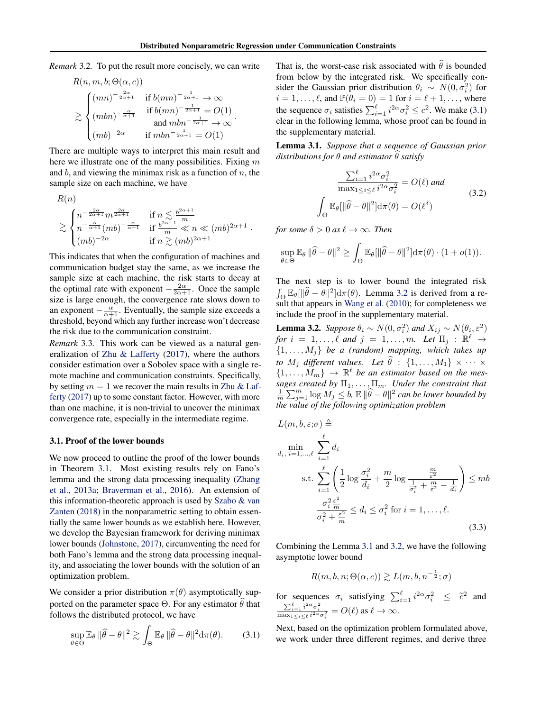*Remark* 3.2*.* To put the result more concisely, we can write

$$
R(n, m, b; \Theta(\alpha, c))
$$
  
\n
$$
\geq \begin{cases} (mn)^{-\frac{2\alpha}{2\alpha+1}} & \text{if } b(mn)^{-\frac{1}{2\alpha+1}} \to \infty \\ (mbn)^{-\frac{\alpha}{\alpha+1}} & \text{if } b(mn)^{-\frac{1}{2\alpha+1}} = O(1) \\ \text{and } mbn^{-\frac{1}{2\alpha+1}} \to \infty \\ (mb)^{-2\alpha} & \text{if } mbn^{-\frac{1}{2\alpha+1}} = O(1) \end{cases}.
$$

There are multiple ways to interpret this main result and here we illustrate one of the many possibilities. Fixing  $m$ and  $b$ , and viewing the minimax risk as a function of  $n$ , the sample size on each machine, we have

$$
\mathcal{K}(n)
$$
\n
$$
\geq \begin{cases}\nn^{-\frac{2\alpha}{2\alpha+1}} m^{\frac{2\alpha}{2\alpha+1}} & \text{if } n \leq \frac{b^{2\alpha+1}}{m} \\
n^{-\frac{\alpha}{\alpha+1}} (mb)^{-\frac{\alpha}{\alpha+1}} & \text{if } \frac{b^{2\alpha+1}}{m} \ll n \ll (mb)^{2\alpha+1} \\
(mb)^{-2\alpha} & \text{if } n \gtrsim (mb)^{2\alpha+1}\n\end{cases}
$$

This indicates that when the configuration of machines and communication budget stay the same, as we increase the sample size at each machine, the risk starts to decay at the optimal rate with exponent  $-\frac{2\alpha}{2\alpha+1}$ . Once the sample size is large enough, the convergence rate slows down to an exponent  $-\frac{\alpha}{\alpha+1}$ . Eventually, the sample size exceeds a threshold, beyond which any further increase won't decrease the risk due to the communication constraint.

*Remark* 3.3*.* This work can be viewed as a natural generalization of Zhu & Lafferty (2017), where the authors consider estimation over a Sobolev space with a single remote machine and communication constraints. Specifically, by setting  $m = 1$  we recover the main results in Zhu & Lafferty (2017) up to some constant factor. However, with more than one machine, it is non-trivial to uncover the minimax convergence rate, especially in the intermediate regime.

#### 3.1. Proof of the lower bounds

 $R(\lambda)$ 

We now proceed to outline the proof of the lower bounds in Theorem 3.1. Most existing results rely on Fano's lemma and the strong data processing inequality (Zhang et al., 2013a; Braverman et al., 2016). An extension of this information-theoretic approach is used by Szabo & van Zanten (2018) in the nonparametric setting to obtain essentially the same lower bounds as we establish here. However, we develop the Bayesian framework for deriving minimax lower bounds (Johnstone, 2017), circumventing the need for both Fano's lemma and the strong data processing inequality, and associating the lower bounds with the solution of an optimization problem.

We consider a prior distribution  $\pi(\theta)$  asymptotically supported on the parameter space  $\Theta$ . For any estimator  $\theta$  that follows the distributed protocol, we have

$$
\sup_{\theta \in \Theta} \mathbb{E}_{\theta} \|\widehat{\theta} - \theta\|^2 \gtrsim \int_{\Theta} \mathbb{E}_{\theta} \|\widehat{\theta} - \theta\|^2 \mathrm{d}\pi(\theta). \tag{3.1}
$$

That is, the worst-case risk associated with  $\hat{\theta}$  is bounded from below by the integrated risk. We specifically consider the Gaussian prior distribution  $\theta_i \sim N(0, \sigma_i^2)$  for  $i = 1, \ldots, \ell$ , and  $\mathbb{P}(\theta_i = 0) = 1$  for  $i = \ell + 1, \ldots$ , where the sequence  $\sigma_i$  satisfies  $\sum_{i=1}^{\ell} i^{2\alpha} \sigma_i^2 \le c^2$ . We make (3.1) clear in the following lemma, whose proof can be found in the supplementary material.

Lemma 3.1. *Suppose that a sequence of Gaussian prior*  $distributions for  $\theta$  and estimator  $\theta$  satisfy$ 

$$
\frac{\sum_{i=1}^{\ell} i^{2\alpha} \sigma_i^2}{\max_{1 \le i \le \ell} i^{2\alpha} \sigma_i^2} = O(\ell) \text{ and}
$$
\n
$$
\int_{\Theta} \mathbb{E}_{\theta} [\|\hat{\theta} - \theta\|^2] d\pi(\theta) = O(\ell^{\delta})
$$
\n(3.2)

*for some*  $\delta > 0$  *as*  $\ell \rightarrow \infty$ *. Then* 

$$
\sup_{\theta \in \Theta} \mathbb{E}_{\theta} \, \|\widehat{\theta} - \theta\|^2 \geq \int_{\Theta} \mathbb{E}_{\theta} [\|\widehat{\theta} - \theta\|^2] d\pi(\theta) \cdot (1 + o(1)).
$$

The next step is to lower bound the integrated risk  $\int_{\Theta} \mathbb{E}_{\theta} [\|\hat{\theta} - \theta\|^2] d\pi(\theta)$ . Lemma 3.2 is derived from a result that appears in Wang et al. (2010); for completeness we include the proof in the supplementary material.

**Lemma 3.2.** *Suppose*  $\theta_i \sim N(0, \sigma_i^2)$  *and*  $X_{ij} \sim N(\theta_i, \varepsilon^2)$  $for i = 1, \ldots, \ell \text{ and } j = 1, \ldots, m$ . Let  $\Pi_j : \mathbb{R}^{\ell} \to$  $\{1, \ldots, M_j\}$  *be a (random) mapping, which takes up to*  $M_i$  *different values. Let*  $\hat{\theta}$  :  $\{1, \ldots, M_1\} \times \cdots \times$  $\{1,\ldots,M_m\} \rightarrow \mathbb{R}^{\ell}$  be an estimator based on the mes*sages created by*  $\Pi_1, \ldots, \Pi_m$ *. Under the constraint that*  $\frac{1}{m}$   $\sum_{j=1}^{m}$  log  $M_j$  ≤  $b$ ,  $\mathbb{E} \Vert \widehat{\theta} - \theta \Vert^2$  can be lower bounded by *the value of the following optimization problem*

$$
L(m, b, \varepsilon; \sigma) \triangleq
$$

$$
\begin{aligned}\n\min_{d_i, i=1,\dots,\ell} \sum_{i=1}^{\ell} d_i \\
\text{s.t.} \sum_{i=1}^{\ell} \left( \frac{1}{2} \log \frac{\sigma_i^2}{d_i} + \frac{m}{2} \log \frac{\frac{m}{\varepsilon^2}}{\frac{1}{\sigma_i^2} + \frac{m}{\varepsilon^2} - \frac{1}{d_i}} \right) &\leq mb \\
\frac{\sigma_i^2 \frac{\varepsilon^2}{m}}{\sigma_i^2 + \frac{\varepsilon^2}{m}} &\leq d_i \leq \sigma_i^2 \text{ for } i = 1,\dots,\ell.\n\end{aligned}
$$
\n(3.3)

Combining the Lemma 3.1 and 3.2, we have the following asymptotic lower bound

$$
R(m,b,n;\Theta(\alpha,c)) \gtrsim L(m,b,n^{-\frac{1}{2}};\sigma)
$$

for sequences  $\sigma_i$  satisfying  $\sum_{i=1}^{\ell} i^{2\alpha} \sigma_i^2 \leq \tilde{c}^2$  and  $\frac{\sum_{i=1}^{\ell} i^{2\alpha} \sigma_i^2}{\max_{1 \leq i \leq \ell} i^{2\alpha} \sigma_i^2} = O(\ell)$  as  $\ell \to \infty$ .

Next, based on the optimization problem formulated above, we work under three different regimes, and derive three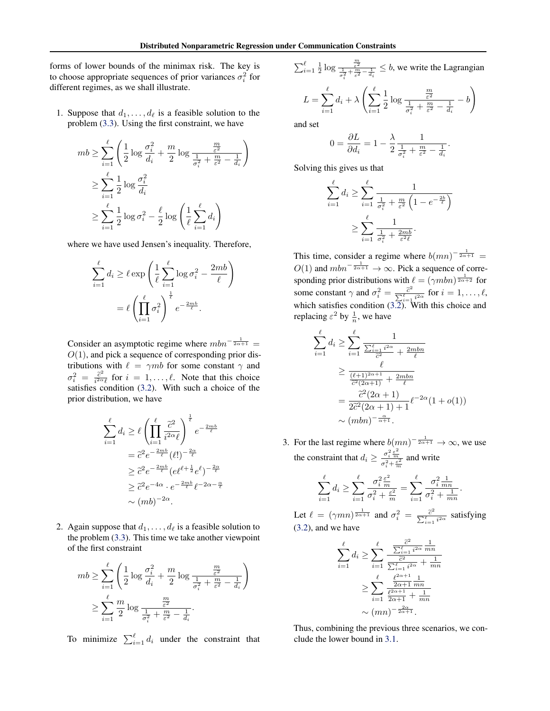forms of lower bounds of the minimax risk. The key is to choose appropriate sequences of prior variances  $\sigma_i^2$  for different regimes, as we shall illustrate.

1. Suppose that  $d_1, \ldots, d_\ell$  is a feasible solution to the problem (3.3). Using the first constraint, we have

$$
mb \geq \sum_{i=1}^{\ell} \left( \frac{1}{2} \log \frac{\sigma_i^2}{d_i} + \frac{m}{2} \log \frac{\frac{m}{\varepsilon^2}}{\frac{1}{\sigma_i^2} + \frac{m}{\varepsilon^2} - \frac{1}{d_i}} \right)
$$
  

$$
\geq \sum_{i=1}^{\ell} \frac{1}{2} \log \frac{\sigma_i^2}{d_i}
$$
  

$$
\geq \sum_{i=1}^{\ell} \frac{1}{2} \log \sigma_i^2 - \frac{\ell}{2} \log \left( \frac{1}{\ell} \sum_{i=1}^{\ell} d_i \right)
$$

where we have used Jensen's inequality. Therefore,

$$
\sum_{i=1}^{\ell} d_i \ge \ell \exp\left(\frac{1}{\ell} \sum_{i=1}^{\ell} \log \sigma_i^2 - \frac{2mb}{\ell}\right)
$$

$$
= \ell \left(\prod_{i=1}^{\ell} \sigma_i^2\right)^{\frac{1}{\ell}} e^{-\frac{2mb}{\ell}}.
$$

Consider an asymptotic regime where  $mbn^{-\frac{1}{2\alpha+1}} =$  $O(1)$ , and pick a sequence of corresponding prior distributions with  $\ell = \gamma mb$  for some constant  $\gamma$  and  $\sigma_i^2~=~\frac{\widetilde{c}^2}{i^{2\alpha}}$  $\frac{c^2}{i^{2\alpha}\ell}$  for  $i = 1, \ldots, \ell$ . Note that this choice satisfies condition (3.2). With such a choice of the prior distribution, we have

$$
\sum_{i=1}^{\ell} d_i \geq \ell \left( \prod_{i=1}^{\ell} \frac{\tilde{c}^2}{i^{2\alpha} \ell} \right)^{\frac{1}{\ell}} e^{-\frac{2mb}{\ell}}
$$

$$
= \tilde{c}^2 e^{-\frac{2mb}{\ell}} (\ell!)^{-\frac{2\alpha}{\ell}}
$$

$$
\geq \tilde{c}^2 e^{-\frac{2mb}{\ell}} (e^{\ell+\frac{1}{2}} e^{\ell})^{-\frac{2\alpha}{\ell}}
$$

$$
\geq \tilde{c}^2 e^{-4\alpha} \cdot e^{-\frac{2mb}{\ell}} \ell^{-2\alpha-\frac{\alpha}{\ell}}
$$

$$
\sim (mb)^{-2\alpha}.
$$

2. Again suppose that  $d_1, \ldots, d_\ell$  is a feasible solution to the problem (3.3). This time we take another viewpoint of the first constraint

$$
mb \ge \sum_{i=1}^{\ell} \left( \frac{1}{2} \log \frac{\sigma_i^2}{d_i} + \frac{m}{2} \log \frac{\frac{m}{\varepsilon^2}}{\frac{1}{\sigma_i^2} + \frac{m}{\varepsilon^2} - \frac{1}{d_i}} \right)
$$
  

$$
\ge \sum_{i=1}^{\ell} \frac{m}{2} \log \frac{\frac{m}{\varepsilon^2}}{\frac{1}{\sigma_i^2} + \frac{m}{\varepsilon^2} - \frac{1}{d_i}}.
$$

To minimize  $\sum_{i=1}^{\ell} d_i$  under the constraint that

$$
\sum_{i=1}^{\ell} \frac{1}{2} \log \frac{\frac{m}{\varepsilon^2}}{\frac{1}{\sigma_i^2} + \frac{m}{\varepsilon^2} - \frac{1}{d_i}} \le b
$$
, we write the Lagrangian

$$
L = \sum_{i=1}^{\ell} d_i + \lambda \left( \sum_{i=1}^{\ell} \frac{1}{2} \log \frac{\frac{m}{\varepsilon^2}}{\frac{1}{\sigma_i^2} + \frac{m}{\varepsilon^2} - \frac{1}{d_i}} - b \right)
$$

and set

$$
0=\frac{\partial L}{\partial d_i}=1-\frac{\lambda}{2}\frac{1}{\frac{1}{\sigma_i^2}+\frac{m}{\varepsilon^2}-\frac{1}{d_i}}.
$$

Solving this gives us that

$$
\sum_{i=1}^{\ell} d_i \ge \sum_{i=1}^{\ell} \frac{1}{\frac{1}{\sigma_i^2} + \frac{m}{\varepsilon^2} \left( 1 - e^{-\frac{2b}{\ell}} \right)}
$$

$$
\ge \sum_{i=1}^{\ell} \frac{1}{\frac{1}{\sigma_i^2} + \frac{2mb}{\varepsilon^2 \ell}}.
$$

This time, consider a regime where  $b(mn)^{-\frac{1}{2\alpha+1}} =$  $O(1)$  and  $mbn^{-\frac{1}{2\alpha+1}} \to \infty$ . Pick a sequence of corresponding prior distributions with  $\ell = (\gamma m b n)^{\frac{1}{2\alpha+2}}$  for some constant  $\gamma$  and  $\sigma_i^2 = \frac{\tilde{c}^2}{\nabla^2}$  $\frac{c^2}{\sum_{i=1}^{\ell} i^{2\alpha}}$  for  $i = 1, \ldots, \ell$ , which satisfies condition (3.2). With this choice and replacing  $\varepsilon^2$  by  $\frac{1}{n}$ , we have

$$
\sum_{i=1}^{\ell} d_i \ge \sum_{i=1}^{\ell} \frac{1}{\frac{\sum_{i=1}^{\ell} i^{2\alpha}}{\bar{c}^2} + \frac{2mbn}{\ell}} \n\ge \frac{\ell}{\frac{(\ell+1)^{2\alpha+1}}{\bar{c}^2(2\alpha+1)} + \frac{2mbn}{\ell}} \n= \frac{\bar{c}^2(2\alpha+1)}{2\bar{c}^2(2\alpha+1)+1} \ell^{-2\alpha}(1+o(1)) \n\sim (mbn)^{-\frac{\alpha}{\alpha+1}}.
$$

3. For the last regime where  $b(mn)^{-\frac{1}{2\alpha+1}} \to \infty$ , we use the constraint that  $d_i \geq \frac{\sigma_i^2 \frac{\varepsilon^2}{m}}{\sigma_i^2 + \frac{\varepsilon^2}{m}}$  and write

$$
\sum_{i=1}^{\ell} d_i \ge \sum_{i=1}^{\ell} \frac{\sigma_i^2 \frac{\varepsilon^2}{m}}{\sigma_i^2 + \frac{\varepsilon^2}{m}} = \sum_{i=1}^{\ell} \frac{\sigma_i^2 \frac{1}{mn}}{\sigma_i^2 + \frac{1}{mn}}.
$$

Let  $\ell = (\gamma mn)^{\frac{1}{2\alpha+1}}$  and  $\sigma_i^2 = \frac{\tilde{c}^2}{\sum_{i=1}^{\ell}}$  $\frac{c^2}{\sum_{i=1}^{\ell} i^{2\alpha}}$  satisfying (3.2), and we have

$$
\sum_{i=1}^{\ell} d_i \ge \sum_{i=1}^{\ell} \frac{\frac{\tilde{c}^2}{\sum_{i=1}^{\ell} i^{2\alpha}} \frac{1}{mn}}{\frac{\tilde{c}^2}{\sum_{i=1}^{\ell} i^{2\alpha}} + \frac{1}{mn}}
$$

$$
\ge \sum_{i=1}^{\ell} \frac{\frac{\ell^{2\alpha+1}}{2\alpha+1} \frac{1}{mn}}{\frac{\ell^{2\alpha+1}}{2\alpha+1} + \frac{1}{mn}}
$$

$$
\sim (mn)^{-\frac{2\alpha}{2\alpha+1}}.
$$

Thus, combining the previous three scenarios, we conclude the lower bound in 3.1.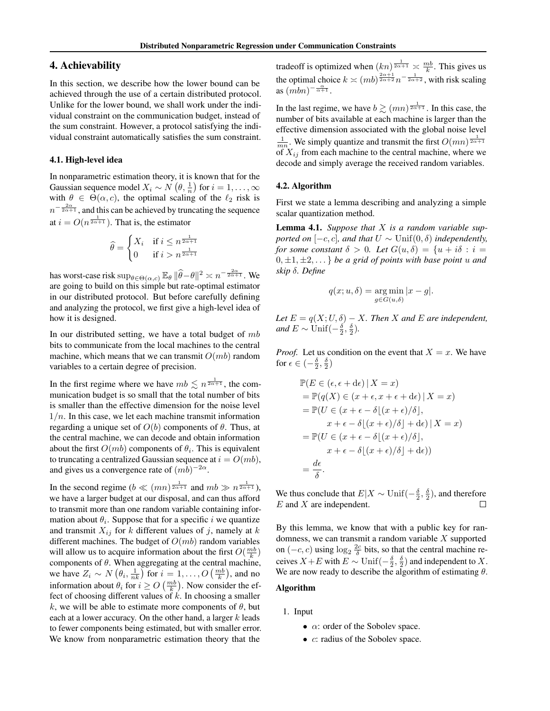# 4. Achievability

In this section, we describe how the lower bound can be achieved through the use of a certain distributed protocol. Unlike for the lower bound, we shall work under the individual constraint on the communication budget, instead of the sum constraint. However, a protocol satisfying the individual constraint automatically satisfies the sum constraint.

#### 4.1. High-level idea

In nonparametric estimation theory, it is known that for the Gaussian sequence model  $X_i \sim N(\theta, \frac{1}{n})$  for  $i = 1, \dots, \infty$ with  $\theta \in \Theta(\alpha, c)$ , the optimal scaling of the  $\ell_2$  risk is  $n^{-\frac{2\alpha}{2\alpha+1}}$ , and this can be achieved by truncating the sequence at  $i = O(n^{\frac{1}{2\alpha+1}})$ . That is, the estimator

$$
\widehat{\theta} = \begin{cases} X_i & \text{if } i \le n^{\frac{1}{2\alpha+1}} \\ 0 & \text{if } i > n^{\frac{1}{2\alpha+1}} \end{cases}
$$

has worst-case risk  $\sup_{\theta \in \Theta(\alpha,c)} \mathbb{E}_{\theta} ||\widehat{\theta} - \theta||^2 \asymp n^{-\frac{2\alpha}{2\alpha+1}}$ . We are going to build on this simple but rate-optimal estimator in our distributed protocol. But before carefully defining and analyzing the protocol, we first give a high-level idea of how it is designed.

In our distributed setting, we have a total budget of  $mb$ bits to communicate from the local machines to the central machine, which means that we can transmit  $O(mb)$  random variables to a certain degree of precision.

In the first regime where we have  $mb \leq n^{\frac{1}{2\alpha+1}}$ , the communication budget is so small that the total number of bits is smaller than the effective dimension for the noise level  $1/n$ . In this case, we let each machine transmit information regarding a unique set of  $O(b)$  components of  $\theta$ . Thus, at the central machine, we can decode and obtain information about the first  $O(mb)$  components of  $\theta_i$ . This is equivalent to truncating a centralized Gaussian sequence at  $i = O(mb)$ , and gives us a convergence rate of  $(mb)^{-2\alpha}$ .

In the second regime  $(b \ll (mn)^{\frac{1}{2\alpha+1}}$  and  $mb \gg n^{\frac{1}{2\alpha+1}}$ ), we have a larger budget at our disposal, and can thus afford to transmit more than one random variable containing information about  $\theta_i$ . Suppose that for a specific i we quantize and transmit  $X_{ij}$  for k different values of j, namely at k different machines. The budget of  $O(mb)$  random variables will allow us to acquire information about the first  $O(\frac{mb}{k})$ components of  $\theta$ . When aggregating at the central machine, we have  $Z_i \sim N(\theta_i, \frac{1}{nk})$  for  $i = 1, ..., O(\frac{mb}{k})$ , and no information about  $\theta_i$  for  $i \geq O\left(\frac{mb}{k}\right)$ . Now consider the effect of choosing different values of  $k$ . In choosing a smaller k, we will be able to estimate more components of  $\theta$ , but each at a lower accuracy. On the other hand, a larger  $k$  leads to fewer components being estimated, but with smaller error. We know from nonparametric estimation theory that the

tradeoff is optimized when  $(kn)^{\frac{1}{2\alpha+1}} \asymp \frac{mb}{k}$ . This gives us the optimal choice  $k \asymp (mb)^{\frac{2\alpha+1}{2\alpha+2}} n^{-\frac{1}{2\alpha+2}}$ , with risk scaling as  $(mbn)^{-\frac{\alpha}{\alpha+1}}$ .

In the last regime, we have  $b \gtrsim (mn)^{\frac{1}{2\alpha+1}}$ . In this case, the number of bits available at each machine is larger than the effective dimension associated with the global noise level  $\frac{1}{mn}$ . We simply quantize and transmit the first  $O(mn)^{\frac{1}{2\alpha+1}}$ of  $X_{ij}$  from each machine to the central machine, where we decode and simply average the received random variables.

#### 4.2. Algorithm

First we state a lemma describing and analyzing a simple scalar quantization method.

Lemma 4.1. *Suppose that* X *is a random variable supported on*  $[-c, c]$ *, and that*  $U \sim \text{Unif}(0, \delta)$  *independently*, *for some constant*  $\delta > 0$ *. Let*  $G(u, \delta) = \{u + i\delta : i =$  $0, \pm 1, \pm 2, \ldots$  *be a grid of points with base point u and skip* δ*. Define*

$$
q(x; u, \delta) = \underset{g \in G(u, \delta)}{\arg \min} |x - g|.
$$

*Let*  $E = q(X; U, \delta) - X$ *. Then* X and E are independent, *and*  $E \sim \text{Unif}(-\frac{\delta}{2}, \frac{\delta}{2})$ *.* 

*Proof.* Let us condition on the event that  $X = x$ . We have for  $\epsilon \in \left(-\frac{\delta}{2}, \frac{\delta}{2}\right)$ 

$$
\mathbb{P}(E \in (\epsilon, \epsilon + d\epsilon) | X = x)
$$
  
=  $\mathbb{P}(q(X) \in (x + \epsilon, x + \epsilon + d\epsilon) | X = x)$   
=  $\mathbb{P}(U \in (x + \epsilon - \delta \lfloor (x + \epsilon)/\delta \rfloor, x + \epsilon - \delta \lfloor (x + \epsilon)/\delta \rfloor + d\epsilon) | X = x)$   
=  $\mathbb{P}(U \in (x + \epsilon - \delta \lfloor (x + \epsilon)/\delta \rfloor, x + \epsilon - \delta \lfloor (x + \epsilon)/\delta \rfloor + d\epsilon))$   
=  $\frac{d\epsilon}{\delta}$ .

We thus conclude that  $E|X \sim \text{Unif}(-\frac{\delta}{2}, \frac{\delta}{2})$ , and therefore  $E$  and  $X$  are independent.

By this lemma, we know that with a public key for randomness, we can transmit a random variable  $X$  supported on  $(-c, c)$  using  $\log_2 \frac{2c}{\delta}$  bits, so that the central machine receives  $X + E$  with  $E \sim \text{Unif}(-\frac{\delta}{2}, \frac{\delta}{2})$  and independent to X. We are now ready to describe the algorithm of estimating  $\theta$ .

### Algorithm

- 1. Input
	- $\alpha$ : order of the Sobolev space.
	- *c*: radius of the Sobolev space.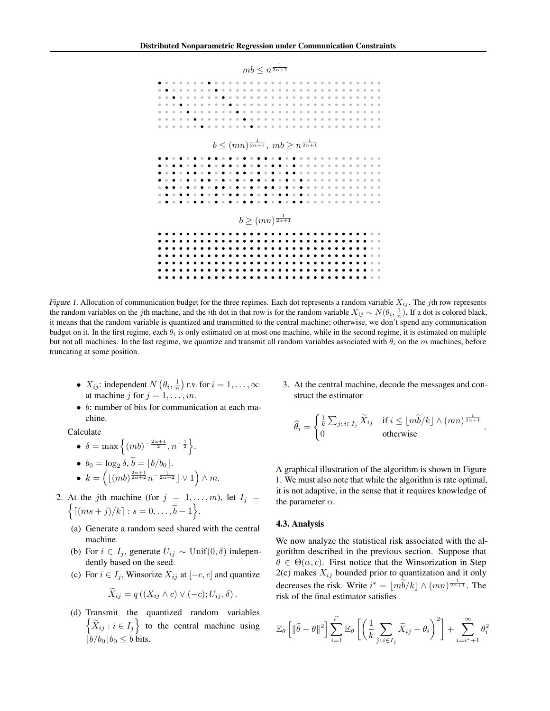

Figure 1. Allocation of communication budget for the three regimes. Each dot represents a random variable  $X_{ij}$ . The jth row represents the random variables on the jth machine, and the *i*th dot in that row is for the random variable  $X_{ij} \sim N(\theta_i, \frac{1}{n})$ . If a dot is colored black, it means that the random variable is quantized and transmitted to the central machine; otherwise, we don't spend any communication budget on it. In the first regime, each  $\theta_i$  is only estimated on at most one machine, while in the second regime, it is estimated on multiple but not all machines. In the last regime, we quantize and transmit all random variables associated with  $\theta_i$  on the m machines, before truncating at some position.

- $X_{ij}$ : independent  $N\left(\theta_i, \frac{1}{n}\right)$  r.v. for  $i = 1, \dots, \infty$ at machine j for  $j = 1, \ldots, m$ .
- b: number of bits for communication at each machine.

Calculate

- $\delta = \max\left\{(mb)^{-\frac{2\alpha+1}{2}}, n^{-\frac{1}{2}}\right\}.$ •  $b_0 = \log_2 \delta, b = \lfloor b/b_0 \rfloor.$ •  $k = \left( \lfloor (m b)^{\frac{2\alpha+1}{2\alpha+2}} n^{-\frac{1}{2\alpha+2}} \rfloor \vee 1 \right) \wedge m.$
- 2. At the jth machine (for  $j = 1, \ldots, m$ ), let  $I_j =$  $\lceil (ms+j)/k \rceil : s = 0, \ldots, \widetilde{b} - 1 \Big\}.$ 
	- (a) Generate a random seed shared with the central machine.
	- (b) For  $i \in I_j$ , generate  $U_{ij} \sim \text{Unif}(0, \delta)$  independently based on the seed.
	- (c) For  $i \in I_j$ , Winsorize  $X_{ij}$  at  $[-c, c]$  and quantize

$$
\widetilde{X}_{ij} = q((X_{ij} \wedge c) \vee (-c); U_{ij}, \delta).
$$

(d) Transmit the quantized random variables  $\left\{ \widetilde{X}_{ij} : i \in I_j \right\}$  to the central machine using  $\big|b/b_0\big|b_0\leq b$  bits.

3. At the central machine, decode the messages and construct the estimator

$$
\widehat{\theta}_i = \begin{cases} \frac{1}{k} \sum_{j: \, i \in I_j} \widetilde{X}_{ij} & \text{if } i \le \lfloor m\widetilde{b}/k \rfloor \wedge (mn)^{\frac{1}{2\alpha + 1}}\\ 0 & \text{otherwise} \end{cases}
$$

.

A graphical illustration of the algorithm is shown in Figure 1. We must also note that while the algorithm is rate optimal, it is not adaptive, in the sense that it requires knowledge of the parameter  $\alpha$ .

### 4.3. Analysis

We now analyze the statistical risk associated with the algorithm described in the previous section. Suppose that  $\theta \in \Theta(\alpha, c)$ . First notice that the Winsorization in Step  $2(c)$  makes  $X_{ij}$  bounded prior to quantization and it only decreases the risk. Write  $i^* = \lfloor m\tilde{b}/k \rfloor \wedge (mn)^{\frac{1}{2\alpha+1}}$ . The risk of the final estimator satisfies

$$
\mathbb{E}_{\theta}\left[\|\widehat{\theta}-\theta\|^2\right] \sum_{i=1}^{i^*} \mathbb{E}_{\theta}\left[\left(\frac{1}{k} \sum_{j:i \in I_j} \widetilde{X}_{ij} - \theta_i\right)^2\right] + \sum_{i=i^*+1}^{\infty} \theta_i^2
$$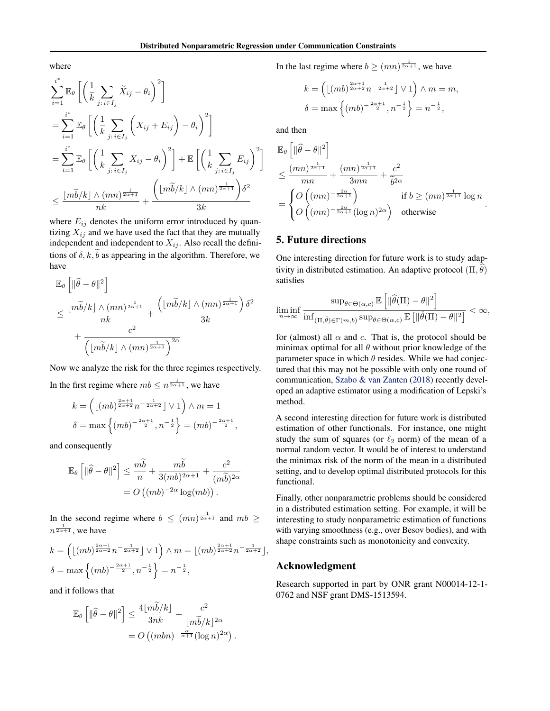where

$$
\sum_{i=1}^{i^*} \mathbb{E}_{\theta} \left[ \left( \frac{1}{k} \sum_{j : i \in I_j} \widetilde{X}_{ij} - \theta_i \right)^2 \right]
$$
\n
$$
= \sum_{i=1}^{i^*} \mathbb{E}_{\theta} \left[ \left( \frac{1}{k} \sum_{j : i \in I_j} \left( X_{ij} + E_{ij} \right) - \theta_i \right)^2 \right]
$$
\n
$$
= \sum_{i=1}^{i^*} \mathbb{E}_{\theta} \left[ \left( \frac{1}{k} \sum_{j : i \in I_j} X_{ij} - \theta_i \right)^2 \right] + \mathbb{E} \left[ \left( \frac{1}{k} \sum_{j : i \in I_j} E_{ij} \right)^2 \right]
$$
\n
$$
\leq \frac{\lfloor m\widetilde{b}/k \rfloor \wedge (mn)^{\frac{1}{2\alpha+1}}}{nk} + \frac{\left( \lfloor m\widetilde{b}/k \rfloor \wedge (mn)^{\frac{1}{2\alpha+1}} \right) \delta^2}{3k}
$$

where  $E_{ij}$  denotes the uniform error introduced by quantizing  $X_{ij}$  and we have used the fact that they are mutually independent and independent to  $X_{ij}$ . Also recall the definitions of  $\delta$ ,  $k$ ,  $b$  as appearing in the algorithm. Therefore, we have

$$
\mathbb{E}_{\theta}\left[\|\widehat{\theta} - \theta\|^2\right] \le \frac{\lfloor m\widetilde{b}/k \rfloor \wedge (mn)^{\frac{1}{2\alpha+1}}}{nk} + \frac{\left(\lfloor m\widetilde{b}/k \rfloor \wedge (mn)^{\frac{1}{2\alpha+1}}\right)\delta^2}{3k} + \frac{c^2}{\left(\lfloor m\widetilde{b}/k \rfloor \wedge (mn)^{\frac{1}{2\alpha+1}}\right)^{2\alpha}}
$$

Now we analyze the risk for the three regimes respectively. In the first regime where  $mb \leq n^{\frac{1}{2\alpha+1}}$ , we have

$$
k = \left( \lfloor (mb)^{\frac{2\alpha+1}{2\alpha+2}} n^{-\frac{1}{2\alpha+2}} \rfloor \vee 1 \right) \wedge m = 1
$$
  

$$
\delta = \max \left\{ (mb)^{-\frac{2\alpha+1}{2}}, n^{-\frac{1}{2}} \right\} = (mb)^{-\frac{2\alpha+1}{2}},
$$

and consequently

$$
\mathbb{E}_{\theta}\left[\|\widehat{\theta}-\theta\|^2\right] \leq \frac{m\widetilde{b}}{n} + \frac{m\widetilde{b}}{3(m b)^{2\alpha+1}} + \frac{c^2}{(m\widetilde{b})^{2\alpha}}
$$

$$
= O\left((mb)^{-2\alpha}\log(m b)\right).
$$

In the second regime where  $b \leq (mn)^{\frac{1}{2\alpha+1}}$  and  $mb \geq$  $n^{\frac{1}{2\alpha+1}}$ , we have

$$
k = \left( \lfloor (mb)^{\frac{2\alpha+1}{2\alpha+2}} n^{-\frac{1}{2\alpha+2}} \rfloor \vee 1 \right) \wedge m = \lfloor (mb)^{\frac{2\alpha+1}{2\alpha+2}} n^{-\frac{1}{2\alpha+2}} \rfloor,
$$
  

$$
\delta = \max \left\{ (mb)^{-\frac{2\alpha+1}{2}}, n^{-\frac{1}{2}} \right\} = n^{-\frac{1}{2}},
$$

and it follows that

$$
\mathbb{E}_{\theta}\left[\|\widehat{\theta}-\theta\|^2\right] \leq \frac{4\lfloor m\widetilde{b}/k\rfloor}{3nk} + \frac{c^2}{\lfloor m\widetilde{b}/k\rfloor^{2\alpha}} \n= O\left((mbn)^{-\frac{\alpha}{\alpha+1}}(\log n)^{2\alpha}\right).
$$

In the last regime where  $b \ge (mn)^{\frac{1}{2\alpha+1}}$ , we have

$$
k = \left( \lfloor (mb)^{\frac{2\alpha+1}{2\alpha+2}} n^{-\frac{1}{2\alpha+2}} \rfloor \vee 1 \right) \wedge m = m,
$$
  

$$
\delta = \max \left\{ (mb)^{-\frac{2\alpha+1}{2}}, n^{-\frac{1}{2}} \right\} = n^{-\frac{1}{2}},
$$

and then

$$
\mathbb{E}_{\theta}\left[\|\widehat{\theta}-\theta\|^2\right] \leq \frac{(mn)^{\frac{1}{2\alpha+1}}}{mn} + \frac{(mn)^{\frac{1}{2\alpha+1}}}{3mn} + \frac{c^2}{\widetilde{b}^{2\alpha}} \n= \begin{cases} O((mn)^{-\frac{2\alpha}{2\alpha+1}}) & \text{if } b \geq (mn)^{\frac{1}{2\alpha+1}} \log n \\ O((mn)^{-\frac{2\alpha}{2\alpha+1}}(\log n)^{2\alpha}) & \text{otherwise} \end{cases}
$$

.

# 5. Future directions

One interesting direction for future work is to study adaptivity in distributed estimation. An adaptive protocol  $(\Pi, \theta)$ satisfies

$$
\liminf_{n\to\infty}\frac{\sup_{\theta\in\Theta(\alpha,c)}\mathbb{E}\left[\|\widehat{\theta}(\Pi)-\theta\|^2\right]}{\inf_{(\Pi,\check{\theta})\in\Gamma(m,b)}\sup_{\theta\in\Theta(\alpha,c)}\mathbb{E}\left[\|\check{\theta}(\Pi)-\theta\|^2\right]}<\infty,
$$

for (almost) all  $\alpha$  and c. That is, the protocol should be minimax optimal for all  $\theta$  without prior knowledge of the parameter space in which  $\theta$  resides. While we had conjectured that this may not be possible with only one round of communication, Szabo & van Zanten (2018) recently developed an adaptive estimator using a modification of Lepski's method.

A second interesting direction for future work is distributed estimation of other functionals. For instance, one might study the sum of squares (or  $\ell_2$  norm) of the mean of a normal random vector. It would be of interest to understand the minimax risk of the norm of the mean in a distributed setting, and to develop optimal distributed protocols for this functional.

Finally, other nonparametric problems should be considered in a distributed estimation setting. For example, it will be interesting to study nonparametric estimation of functions with varying smoothness (e.g., over Besov bodies), and with shape constraints such as monotonicity and convexity.

### Acknowledgment

Research supported in part by ONR grant N00014-12-1- 0762 and NSF grant DMS-1513594.